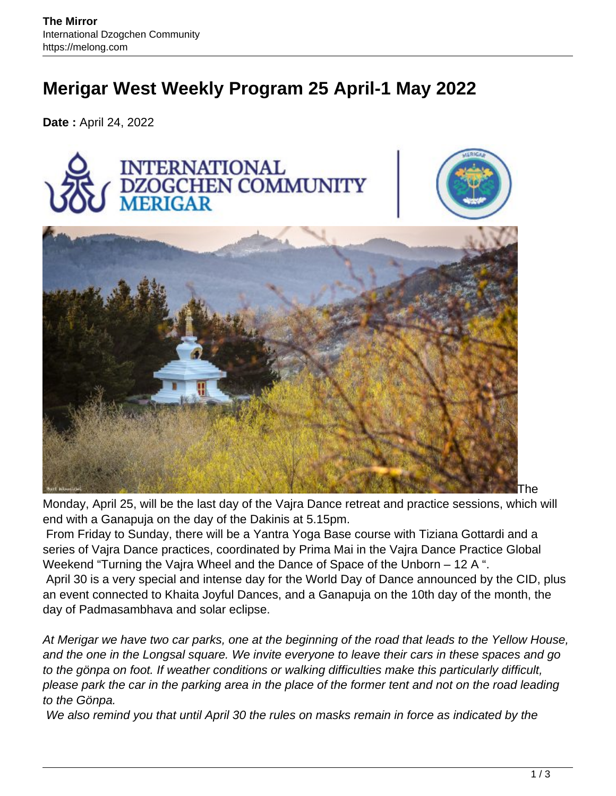# **Merigar West Weekly Program 25 April-1 May 2022**

**Date :** April 24, 2022



Monday, April 25, will be the last day of the Vajra Dance retreat and practice sessions, which will end with a Ganapuja on the day of the Dakinis at 5.15pm.

From Friday to Sunday, there will be a Yantra Yoga Base course with Tiziana Gottardi and a series of Vajra Dance practices, coordinated by Prima Mai in the Vajra Dance Practice Global Weekend "Turning the Vajra Wheel and the Dance of Space of the Unborn – 12 A ". April 30 is a very special and intense day for the World Day of Dance announced by the CID, plus an event connected to Khaita Joyful Dances, and a Ganapuja on the 10th day of the month, the day of Padmasambhava and solar eclipse.

At Merigar we have two car parks, one at the beginning of the road that leads to the Yellow House, and the one in the Longsal square. We invite everyone to leave their cars in these spaces and go to the gönpa on foot. If weather conditions or walking difficulties make this particularly difficult, please park the car in the parking area in the place of the former tent and not on the road leading to the Gönpa.

We also remind you that until April 30 the rules on masks remain in force as indicated by the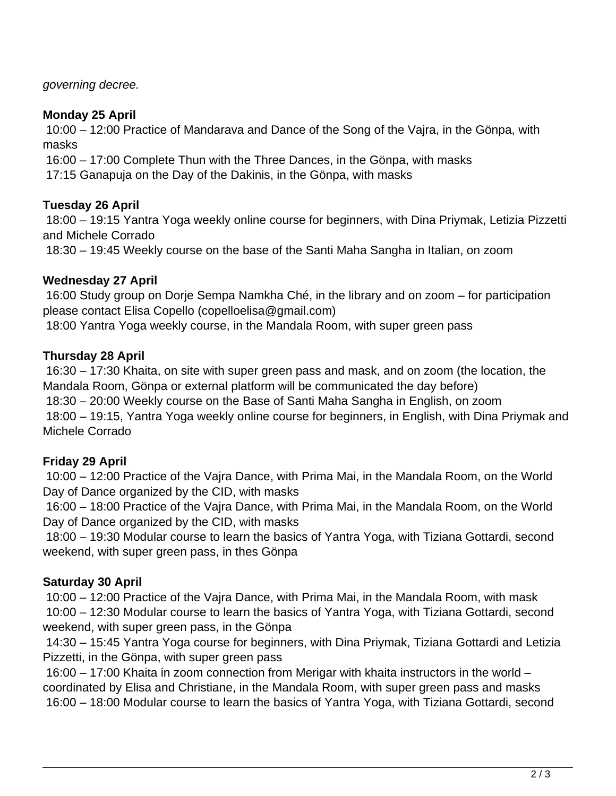governing decree.

#### **Monday 25 April**

10:00 – 12:00 Practice of Mandarava and Dance of the Song of the Vajra, in the Gönpa, with masks

16:00 – 17:00 Complete Thun with the Three Dances, in the Gönpa, with masks

17:15 Ganapuja on the Day of the Dakinis, in the Gönpa, with masks

## **Tuesday 26 April**

18:00 – 19:15 Yantra Yoga weekly online course for beginners, with Dina Priymak, Letizia Pizzetti and Michele Corrado

18:30 – 19:45 Weekly course on the base of the Santi Maha Sangha in Italian, on zoom

## **Wednesday 27 April**

16:00 Study group on Dorje Sempa Namkha Ché, in the library and on zoom – for participation please contact Elisa Copello (copelloelisa@gmail.com)

18:00 Yantra Yoga weekly course, in the Mandala Room, with super green pass

## **Thursday 28 April**

16:30 – 17:30 Khaita, on site with super green pass and mask, and on zoom (the location, the Mandala Room, Gönpa or external platform will be communicated the day before) 18:30 – 20:00 Weekly course on the Base of Santi Maha Sangha in English, on zoom 18:00 – 19:15, Yantra Yoga weekly online course for beginners, in English, with Dina Priymak and Michele Corrado

# **Friday 29 April**

10:00 – 12:00 Practice of the Vajra Dance, with Prima Mai, in the Mandala Room, on the World Day of Dance organized by the CID, with masks

16:00 – 18:00 Practice of the Vajra Dance, with Prima Mai, in the Mandala Room, on the World Day of Dance organized by the CID, with masks

18:00 – 19:30 Modular course to learn the basics of Yantra Yoga, with Tiziana Gottardi, second weekend, with super green pass, in thes Gönpa

# **Saturday 30 April**

10:00 – 12:00 Practice of the Vajra Dance, with Prima Mai, in the Mandala Room, with mask 10:00 – 12:30 Modular course to learn the basics of Yantra Yoga, with Tiziana Gottardi, second weekend, with super green pass, in the Gönpa

14:30 – 15:45 Yantra Yoga course for beginners, with Dina Priymak, Tiziana Gottardi and Letizia Pizzetti, in the Gönpa, with super green pass

16:00 – 17:00 Khaita in zoom connection from Merigar with khaita instructors in the world – coordinated by Elisa and Christiane, in the Mandala Room, with super green pass and masks 16:00 – 18:00 Modular course to learn the basics of Yantra Yoga, with Tiziana Gottardi, second